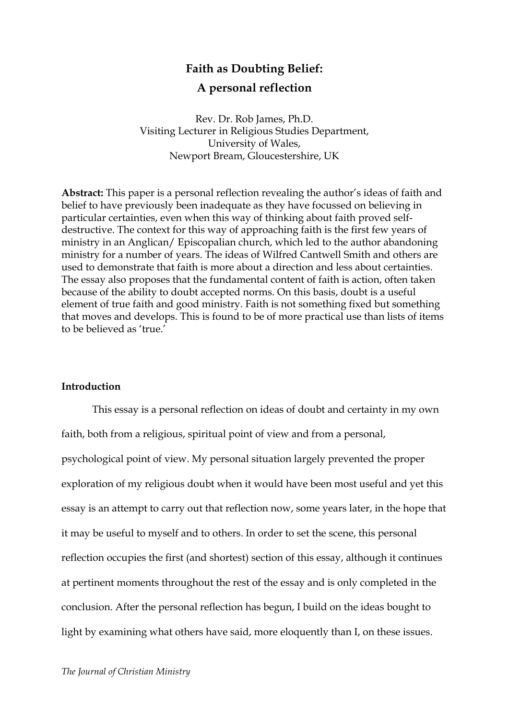## **Faith as Doubting Belief:**

## **A personal reflection**

Rev. Dr. Rob James, Ph.D. Visiting Lecturer in Religious Studies Department, University of Wales, Newport Bream, Gloucestershire, UK

**Abstract:** This paper is a personal reflection revealing the author's ideas of faith and belief to have previously been inadequate as they have focussed on believing in particular certainties, even when this way of thinking about faith proved selfdestructive. The context for this way of approaching faith is the first few years of ministry in an Anglican/ Episcopalian church, which led to the author abandoning ministry for a number of years. The ideas of Wilfred Cantwell Smith and others are used to demonstrate that faith is more about a direction and less about certainties. The essay also proposes that the fundamental content of faith is action, often taken because of the ability to doubt accepted norms. On this basis, doubt is a useful element of true faith and good ministry. Faith is not something fixed but something that moves and develops. This is found to be of more practical use than lists of items to be believed as 'true'

#### **Introduction**

This essay is a personal reflection on ideas of doubt and certainty in my own faith, both from a religious, spiritual point of view and from a personal, psychological point of view. My personal situation largely prevented the proper exploration of my religious doubt when it would have been most useful and yet this essay is an attempt to carry out that reflection now, some years later, in the hope that it may be useful to myself and to others. In order to set the scene, this personal reflection occupies the first (and shortest) section of this essay, although it continues at pertinent moments throughout the rest of the essay and is only completed in the conclusion. After the personal reflection has begun, I build on the ideas bought to light by examining what others have said, more eloquently than I, on these issues.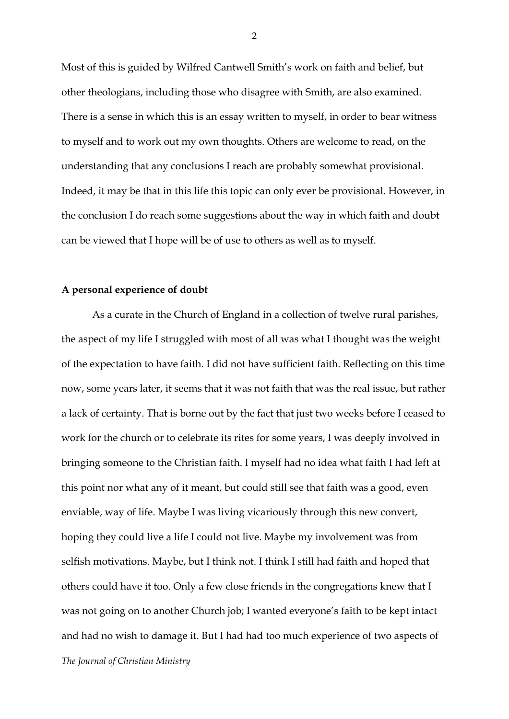Most of this is guided by Wilfred Cantwell Smith's work on faith and belief, but other theologians, including those who disagree with Smith, are also examined. There is a sense in which this is an essay written to myself, in order to bear witness to myself and to work out my own thoughts. Others are welcome to read, on the understanding that any conclusions I reach are probably somewhat provisional. Indeed, it may be that in this life this topic can only ever be provisional. However, in the conclusion I do reach some suggestions about the way in which faith and doubt can be viewed that I hope will be of use to others as well as to myself.

#### **A personal experience of doubt**

*The Journal of Christian Ministry* As a curate in the Church of England in a collection of twelve rural parishes, the aspect of my life I struggled with most of all was what I thought was the weight of the expectation to have faith. I did not have sufficient faith. Reflecting on this time now, some years later, it seems that it was not faith that was the real issue, but rather a lack of certainty. That is borne out by the fact that just two weeks before I ceased to work for the church or to celebrate its rites for some years, I was deeply involved in bringing someone to the Christian faith. I myself had no idea what faith I had left at this point nor what any of it meant, but could still see that faith was a good, even enviable, way of life. Maybe I was living vicariously through this new convert, hoping they could live a life I could not live. Maybe my involvement was from selfish motivations. Maybe, but I think not. I think I still had faith and hoped that others could have it too. Only a few close friends in the congregations knew that I was not going on to another Church job; I wanted everyone's faith to be kept intact and had no wish to damage it. But I had had too much experience of two aspects of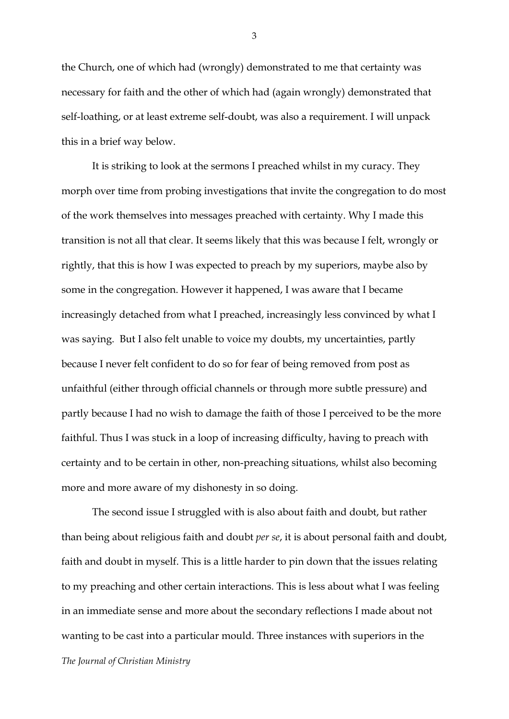the Church, one of which had (wrongly) demonstrated to me that certainty was necessary for faith and the other of which had (again wrongly) demonstrated that self-loathing, or at least extreme self-doubt, was also a requirement. I will unpack this in a brief way below.

It is striking to look at the sermons I preached whilst in my curacy. They morph over time from probing investigations that invite the congregation to do most of the work themselves into messages preached with certainty. Why I made this transition is not all that clear. It seems likely that this was because I felt, wrongly or rightly, that this is how I was expected to preach by my superiors, maybe also by some in the congregation. However it happened, I was aware that I became increasingly detached from what I preached, increasingly less convinced by what I was saying. But I also felt unable to voice my doubts, my uncertainties, partly because I never felt confident to do so for fear of being removed from post as unfaithful (either through official channels or through more subtle pressure) and partly because I had no wish to damage the faith of those I perceived to be the more faithful. Thus I was stuck in a loop of increasing difficulty, having to preach with certainty and to be certain in other, non-preaching situations, whilst also becoming more and more aware of my dishonesty in so doing.

*The Journal of Christian Ministry* The second issue I struggled with is also about faith and doubt, but rather than being about religious faith and doubt *per se*, it is about personal faith and doubt, faith and doubt in myself. This is a little harder to pin down that the issues relating to my preaching and other certain interactions. This is less about what I was feeling in an immediate sense and more about the secondary reflections I made about not wanting to be cast into a particular mould. Three instances with superiors in the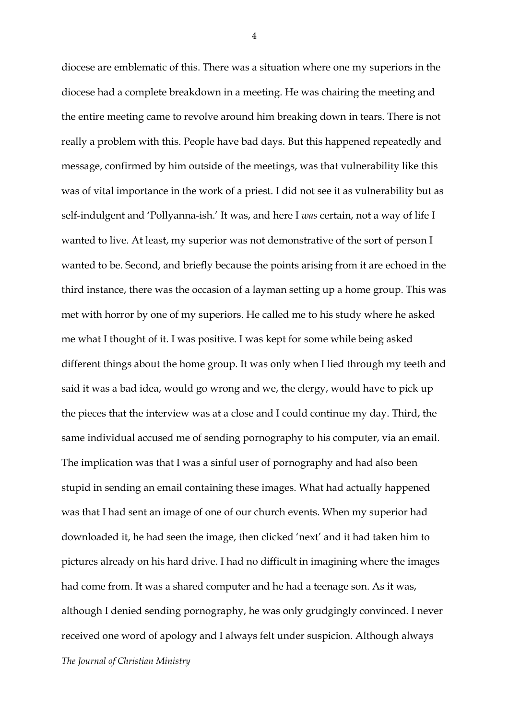*The Journal of Christian Ministry* diocese are emblematic of this. There was a situation where one my superiors in the diocese had a complete breakdown in a meeting. He was chairing the meeting and the entire meeting came to revolve around him breaking down in tears. There is not really a problem with this. People have bad days. But this happened repeatedly and message, confirmed by him outside of the meetings, was that vulnerability like this was of vital importance in the work of a priest. I did not see it as vulnerability but as self-indulgent and 'Pollyanna-ish.' It was, and here I *was* certain, not a way of life I wanted to live. At least, my superior was not demonstrative of the sort of person I wanted to be. Second, and briefly because the points arising from it are echoed in the third instance, there was the occasion of a layman setting up a home group. This was met with horror by one of my superiors. He called me to his study where he asked me what I thought of it. I was positive. I was kept for some while being asked different things about the home group. It was only when I lied through my teeth and said it was a bad idea, would go wrong and we, the clergy, would have to pick up the pieces that the interview was at a close and I could continue my day. Third, the same individual accused me of sending pornography to his computer, via an email. The implication was that I was a sinful user of pornography and had also been stupid in sending an email containing these images. What had actually happened was that I had sent an image of one of our church events. When my superior had downloaded it, he had seen the image, then clicked 'next' and it had taken him to pictures already on his hard drive. I had no difficult in imagining where the images had come from. It was a shared computer and he had a teenage son. As it was, although I denied sending pornography, he was only grudgingly convinced. I never received one word of apology and I always felt under suspicion. Although always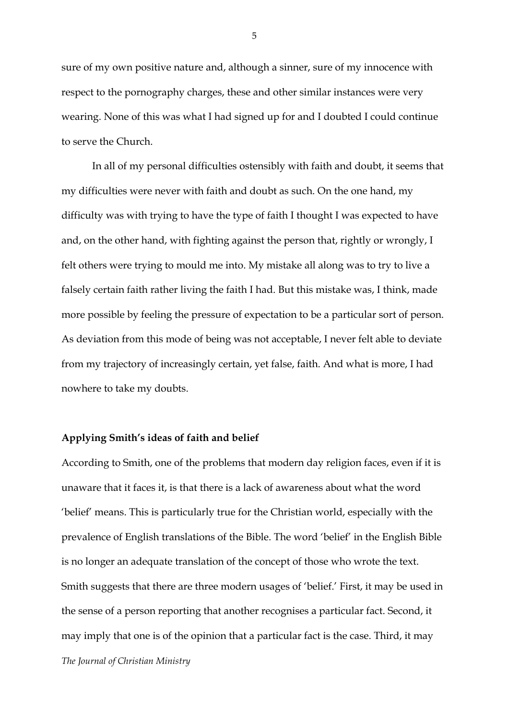sure of my own positive nature and, although a sinner, sure of my innocence with respect to the pornography charges, these and other similar instances were very wearing. None of this was what I had signed up for and I doubted I could continue to serve the Church.

In all of my personal difficulties ostensibly with faith and doubt, it seems that my difficulties were never with faith and doubt as such. On the one hand, my difficulty was with trying to have the type of faith I thought I was expected to have and, on the other hand, with fighting against the person that, rightly or wrongly, I felt others were trying to mould me into. My mistake all along was to try to live a falsely certain faith rather living the faith I had. But this mistake was, I think, made more possible by feeling the pressure of expectation to be a particular sort of person. As deviation from this mode of being was not acceptable, I never felt able to deviate from my trajectory of increasingly certain, yet false, faith. And what is more, I had nowhere to take my doubts.

#### **Applying Smith's ideas of faith and belief**

*The Journal of Christian Ministry* According to Smith, one of the problems that modern day religion faces, even if it is unaware that it faces it, is that there is a lack of awareness about what the word 'belief' means. This is particularly true for the Christian world, especially with the prevalence of English translations of the Bible. The word 'belief' in the English Bible is no longer an adequate translation of the concept of those who wrote the text. Smith suggests that there are three modern usages of 'belief.' First, it may be used in the sense of a person reporting that another recognises a particular fact. Second, it may imply that one is of the opinion that a particular fact is the case. Third, it may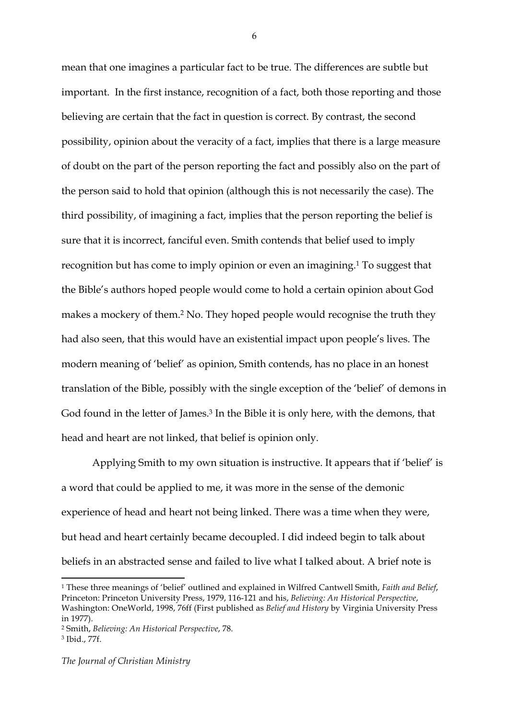mean that one imagines a particular fact to be true. The differences are subtle but important. In the first instance, recognition of a fact, both those reporting and those believing are certain that the fact in question is correct. By contrast, the second possibility, opinion about the veracity of a fact, implies that there is a large measure of doubt on the part of the person reporting the fact and possibly also on the part of the person said to hold that opinion (although this is not necessarily the case). The third possibility, of imagining a fact, implies that the person reporting the belief is sure that it is incorrect, fanciful even. Smith contends that belief used to imply recognition but has come to imply opinion or even an imagining.1 To suggest that the Bible's authors hoped people would come to hold a certain opinion about God makes a mockery of them.2 No. They hoped people would recognise the truth they had also seen, that this would have an existential impact upon people's lives. The modern meaning of 'belief' as opinion, Smith contends, has no place in an honest translation of the Bible, possibly with the single exception of the 'belief' of demons in God found in the letter of James.<sup>3</sup> In the Bible it is only here, with the demons, that head and heart are not linked, that belief is opinion only.

Applying Smith to my own situation is instructive. It appears that if 'belief' is a word that could be applied to me, it was more in the sense of the demonic experience of head and heart not being linked. There was a time when they were, but head and heart certainly became decoupled. I did indeed begin to talk about beliefs in an abstracted sense and failed to live what I talked about. A brief note is

*The Journal of Christian Ministry*

<u> 1989 - Jan Samuel Barbara, margaret e</u>

<sup>1</sup> These three meanings of 'belief' outlined and explained in Wilfred Cantwell Smith, *Faith and Belief*, Princeton: Princeton University Press, 1979, 116-121 and his, *Believing: An Historical Perspective*, Washington: OneWorld, 1998, 76ff (First published as *Belief and History* by Virginia University Press in 1977).

<sup>2</sup> Smith, *Believing: An Historical Perspective*, 78. <sup>3</sup> Ibid., 77f.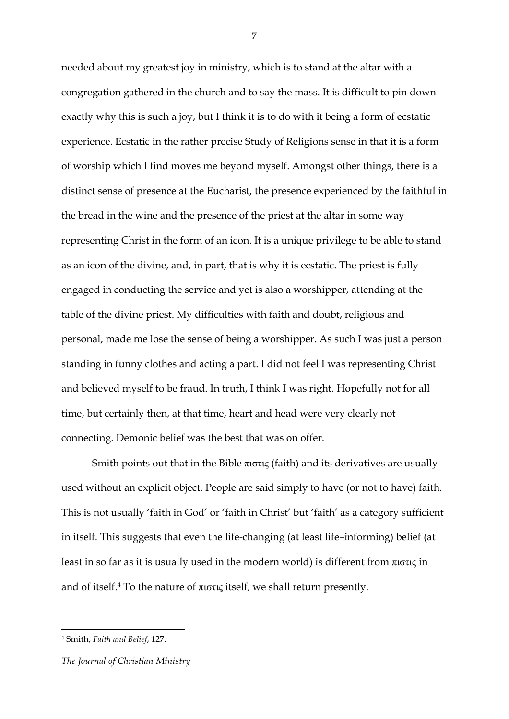needed about my greatest joy in ministry, which is to stand at the altar with a congregation gathered in the church and to say the mass. It is difficult to pin down exactly why this is such a joy, but I think it is to do with it being a form of ecstatic experience. Ecstatic in the rather precise Study of Religions sense in that it is a form of worship which I find moves me beyond myself. Amongst other things, there is a distinct sense of presence at the Eucharist, the presence experienced by the faithful in the bread in the wine and the presence of the priest at the altar in some way representing Christ in the form of an icon. It is a unique privilege to be able to stand as an icon of the divine, and, in part, that is why it is ecstatic. The priest is fully engaged in conducting the service and yet is also a worshipper, attending at the table of the divine priest. My difficulties with faith and doubt, religious and personal, made me lose the sense of being a worshipper. As such I was just a person standing in funny clothes and acting a part. I did not feel I was representing Christ and believed myself to be fraud. In truth, I think I was right. Hopefully not for all time, but certainly then, at that time, heart and head were very clearly not connecting. Demonic belief was the best that was on offer.

Smith points out that in the Bible  $\pi$ ιστις (faith) and its derivatives are usually used without an explicit object. People are said simply to have (or not to have) faith. This is not usually 'faith in God' or 'faith in Christ' but 'faith' as a category sufficient in itself. This suggests that even the life-changing (at least life–informing) belief (at least in so far as it is usually used in the modern world) is different from πιστις in and of itself.<sup>4</sup> To the nature of  $\pi$  is a itself, we shall return presently.

<u> 1989 - Jan Samuel Barbara, margaret e</u>

<sup>4</sup> Smith, *Faith and Belief*, 127.

*The Journal of Christian Ministry*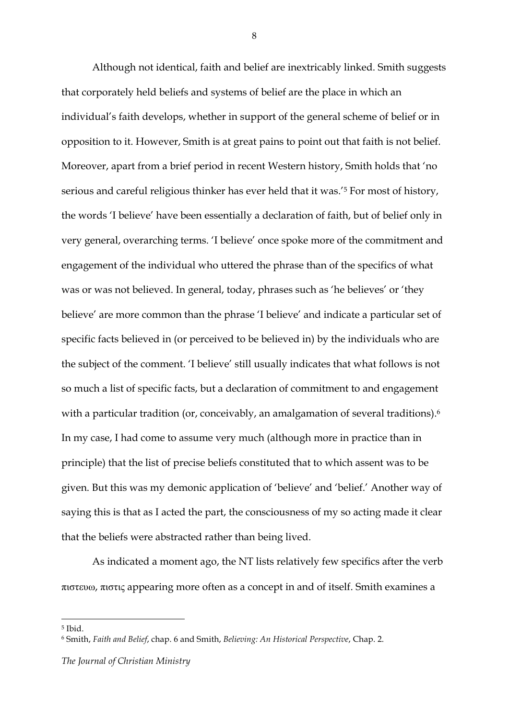Although not identical, faith and belief are inextricably linked. Smith suggests that corporately held beliefs and systems of belief are the place in which an individual's faith develops, whether in support of the general scheme of belief or in opposition to it. However, Smith is at great pains to point out that faith is not belief. Moreover, apart from a brief period in recent Western history, Smith holds that 'no serious and careful religious thinker has ever held that it was.'5 For most of history, the words 'I believe' have been essentially a declaration of faith, but of belief only in very general, overarching terms. 'I believe' once spoke more of the commitment and engagement of the individual who uttered the phrase than of the specifics of what was or was not believed. In general, today, phrases such as 'he believes' or 'they believe' are more common than the phrase 'I believe' and indicate a particular set of specific facts believed in (or perceived to be believed in) by the individuals who are the subject of the comment. 'I believe' still usually indicates that what follows is not so much a list of specific facts, but a declaration of commitment to and engagement with a particular tradition (or, conceivably, an amalgamation of several traditions).<sup>6</sup> In my case, I had come to assume very much (although more in practice than in principle) that the list of precise beliefs constituted that to which assent was to be given. But this was my demonic application of 'believe' and 'belief.' Another way of saying this is that as I acted the part, the consciousness of my so acting made it clear that the beliefs were abstracted rather than being lived.

As indicated a moment ago, the NT lists relatively few specifics after the verb πιστευω, πιστις appearing more often as a concept in and of itself. Smith examines a

<u> 1989 - Jan Samuel Barbara, margaret e</u>

<sup>5</sup> Ibid.

<sup>6</sup> Smith, *Faith and Belief*, chap. 6 and Smith, *Believing: An Historical Perspective*, Chap. 2.

*The Journal of Christian Ministry*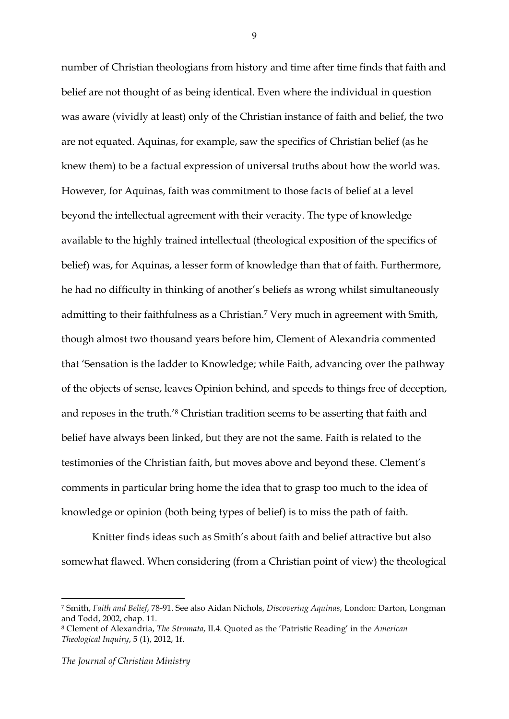number of Christian theologians from history and time after time finds that faith and belief are not thought of as being identical. Even where the individual in question was aware (vividly at least) only of the Christian instance of faith and belief, the two are not equated. Aquinas, for example, saw the specifics of Christian belief (as he knew them) to be a factual expression of universal truths about how the world was. However, for Aquinas, faith was commitment to those facts of belief at a level beyond the intellectual agreement with their veracity. The type of knowledge available to the highly trained intellectual (theological exposition of the specifics of belief) was, for Aquinas, a lesser form of knowledge than that of faith. Furthermore, he had no difficulty in thinking of another's beliefs as wrong whilst simultaneously admitting to their faithfulness as a Christian.7 Very much in agreement with Smith, though almost two thousand years before him, Clement of Alexandria commented that 'Sensation is the ladder to Knowledge; while Faith, advancing over the pathway of the objects of sense, leaves Opinion behind, and speeds to things free of deception, and reposes in the truth.'8 Christian tradition seems to be asserting that faith and belief have always been linked, but they are not the same. Faith is related to the testimonies of the Christian faith, but moves above and beyond these. Clement's comments in particular bring home the idea that to grasp too much to the idea of knowledge or opinion (both being types of belief) is to miss the path of faith.

Knitter finds ideas such as Smith's about faith and belief attractive but also somewhat flawed. When considering (from a Christian point of view) the theological

<u> 1989 - Jan Samuel Barbara, margaret e</u>

<sup>7</sup> Smith, *Faith and Belief*, 78-91. See also Aidan Nichols, *Discovering Aquinas*, London: Darton, Longman and Todd, 2002, chap. 11.

<sup>8</sup> Clement of Alexandria, *The Stromata*, II.4. Quoted as the 'Patristic Reading' in the *American Theological Inquiry*, 5 (1), 2012, 1f.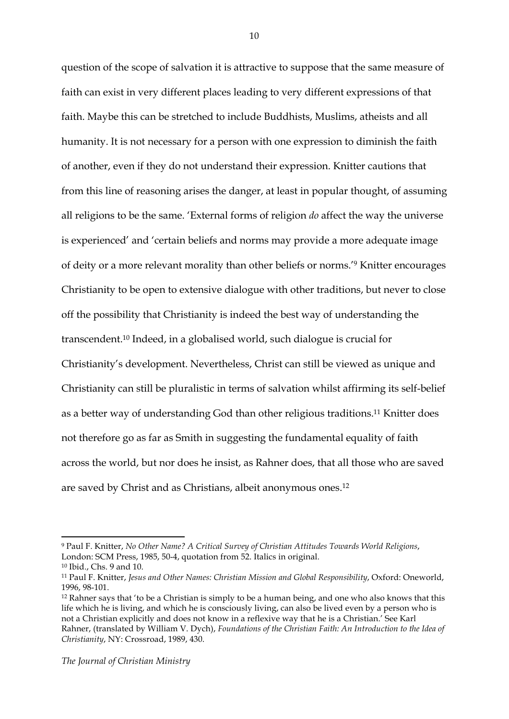question of the scope of salvation it is attractive to suppose that the same measure of faith can exist in very different places leading to very different expressions of that faith. Maybe this can be stretched to include Buddhists, Muslims, atheists and all humanity. It is not necessary for a person with one expression to diminish the faith of another, even if they do not understand their expression. Knitter cautions that from this line of reasoning arises the danger, at least in popular thought, of assuming all religions to be the same. 'External forms of religion *do* affect the way the universe is experienced' and 'certain beliefs and norms may provide a more adequate image of deity or a more relevant morality than other beliefs or norms.'9 Knitter encourages Christianity to be open to extensive dialogue with other traditions, but never to close off the possibility that Christianity is indeed the best way of understanding the transcendent.10 Indeed, in a globalised world, such dialogue is crucial for Christianity's development. Nevertheless, Christ can still be viewed as unique and Christianity can still be pluralistic in terms of salvation whilst affirming its self-belief as a better way of understanding God than other religious traditions.11 Knitter does not therefore go as far as Smith in suggesting the fundamental equality of faith across the world, but nor does he insist, as Rahner does, that all those who are saved are saved by Christ and as Christians, albeit anonymous ones.12

 

<sup>9</sup> Paul F. Knitter, *No Other Name? A Critical Survey of Christian Attitudes Towards World Religions*, London: SCM Press, 1985, 50-4, quotation from 52. Italics in original.

<sup>10</sup> Ibid., Chs. 9 and 10.

<sup>11</sup> Paul F. Knitter, *Jesus and Other Names: Christian Mission and Global Responsibility*, Oxford: Oneworld, 1996, 98-101.

<sup>&</sup>lt;sup>12</sup> Rahner says that 'to be a Christian is simply to be a human being, and one who also knows that this life which he is living, and which he is consciously living, can also be lived even by a person who is not a Christian explicitly and does not know in a reflexive way that he is a Christian.' See Karl Rahner, (translated by William V. Dych), *Foundations of the Christian Faith: An Introduction to the Idea of Christianity*, NY: Crossroad, 1989, 430.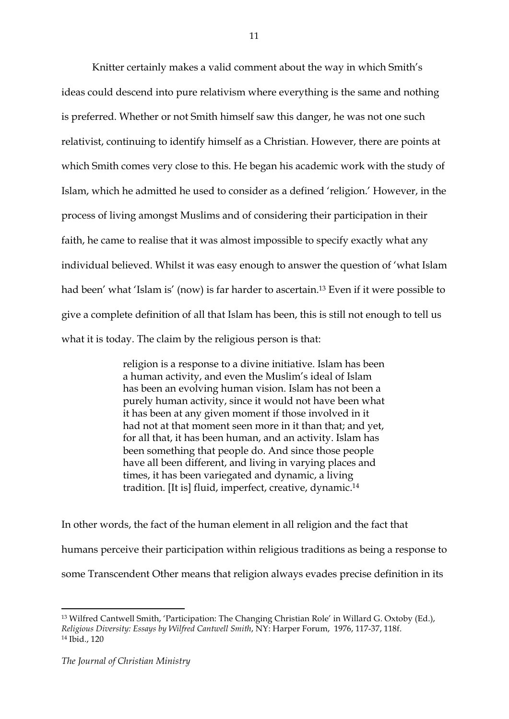Knitter certainly makes a valid comment about the way in which Smith's ideas could descend into pure relativism where everything is the same and nothing is preferred. Whether or not Smith himself saw this danger, he was not one such relativist, continuing to identify himself as a Christian. However, there are points at which Smith comes very close to this. He began his academic work with the study of Islam, which he admitted he used to consider as a defined 'religion.' However, in the process of living amongst Muslims and of considering their participation in their faith, he came to realise that it was almost impossible to specify exactly what any individual believed. Whilst it was easy enough to answer the question of 'what Islam had been' what 'Islam is' (now) is far harder to ascertain.<sup>13</sup> Even if it were possible to give a complete definition of all that Islam has been, this is still not enough to tell us what it is today. The claim by the religious person is that:

> religion is a response to a divine initiative. Islam has been a human activity, and even the Muslim's ideal of Islam has been an evolving human vision. Islam has not been a purely human activity, since it would not have been what it has been at any given moment if those involved in it had not at that moment seen more in it than that; and yet, for all that, it has been human, and an activity. Islam has been something that people do. And since those people have all been different, and living in varying places and times, it has been variegated and dynamic, a living tradition. [It is] fluid, imperfect, creative, dynamic.14

In other words, the fact of the human element in all religion and the fact that humans perceive their participation within religious traditions as being a response to some Transcendent Other means that religion always evades precise definition in its

<sup>13</sup> Wilfred Cantwell Smith, 'Participation: The Changing Christian Role' in Willard G. Oxtoby (Ed.), *Religious Diversity: Essays by Wilfred Cantwell Smith*, NY: Harper Forum, 1976, 117-37, 118f. <sup>14</sup> Ibid., 120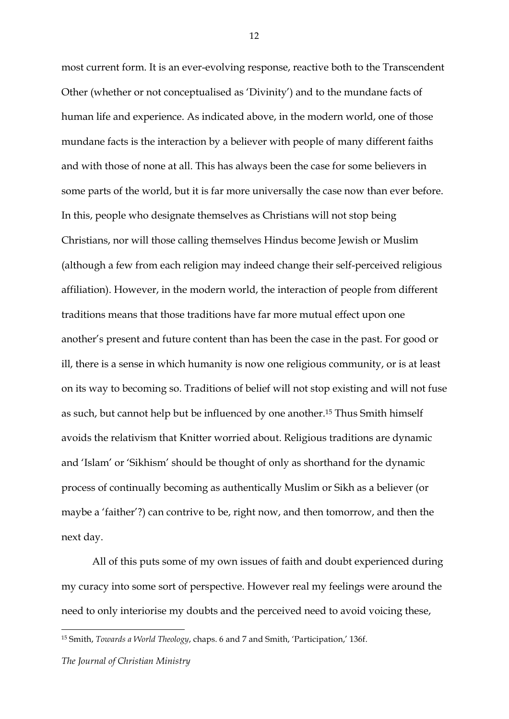most current form. It is an ever-evolving response, reactive both to the Transcendent Other (whether or not conceptualised as 'Divinity') and to the mundane facts of human life and experience. As indicated above, in the modern world, one of those mundane facts is the interaction by a believer with people of many different faiths and with those of none at all. This has always been the case for some believers in some parts of the world, but it is far more universally the case now than ever before. In this, people who designate themselves as Christians will not stop being Christians, nor will those calling themselves Hindus become Jewish or Muslim (although a few from each religion may indeed change their self-perceived religious affiliation). However, in the modern world, the interaction of people from different traditions means that those traditions have far more mutual effect upon one another's present and future content than has been the case in the past. For good or ill, there is a sense in which humanity is now one religious community, or is at least on its way to becoming so. Traditions of belief will not stop existing and will not fuse as such, but cannot help but be influenced by one another.15 Thus Smith himself avoids the relativism that Knitter worried about. Religious traditions are dynamic and 'Islam' or 'Sikhism' should be thought of only as shorthand for the dynamic process of continually becoming as authentically Muslim or Sikh as a believer (or maybe a 'faither'?) can contrive to be, right now, and then tomorrow, and then the next day.

All of this puts some of my own issues of faith and doubt experienced during my curacy into some sort of perspective. However real my feelings were around the need to only interiorise my doubts and the perceived need to avoid voicing these,

<u> 1989 - Jan Samuel Barbara, margaret e</u>

<sup>15</sup> Smith, *Towards a World Theology*, chaps. 6 and 7 and Smith, 'Participation,' 136f.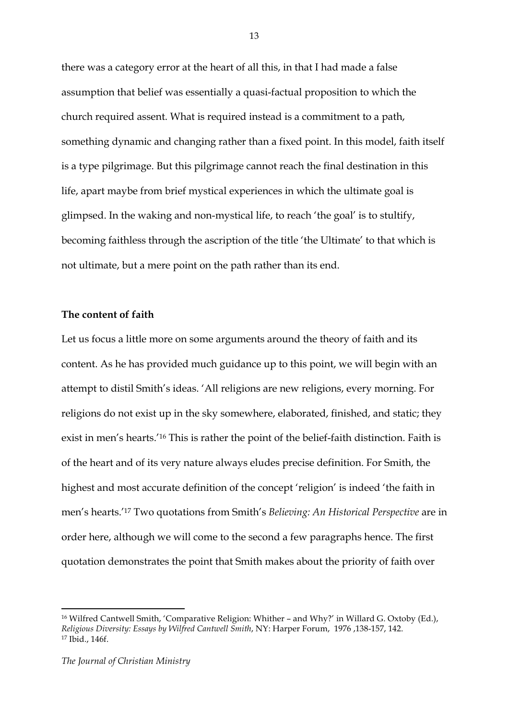there was a category error at the heart of all this, in that I had made a false assumption that belief was essentially a quasi-factual proposition to which the church required assent. What is required instead is a commitment to a path, something dynamic and changing rather than a fixed point. In this model, faith itself is a type pilgrimage. But this pilgrimage cannot reach the final destination in this life, apart maybe from brief mystical experiences in which the ultimate goal is glimpsed. In the waking and non-mystical life, to reach 'the goal' is to stultify, becoming faithless through the ascription of the title 'the Ultimate' to that which is not ultimate, but a mere point on the path rather than its end.

### **The content of faith**

Let us focus a little more on some arguments around the theory of faith and its content. As he has provided much guidance up to this point, we will begin with an attempt to distil Smith's ideas. 'All religions are new religions, every morning. For religions do not exist up in the sky somewhere, elaborated, finished, and static; they exist in men's hearts.'16 This is rather the point of the belief-faith distinction. Faith is of the heart and of its very nature always eludes precise definition. For Smith, the highest and most accurate definition of the concept 'religion' is indeed 'the faith in men's hearts.'17 Two quotations from Smith's *Believing: An Historical Perspective* are in order here, although we will come to the second a few paragraphs hence. The first quotation demonstrates the point that Smith makes about the priority of faith over

<sup>&</sup>lt;sup>16</sup> Wilfred Cantwell Smith, 'Comparative Religion: Whither – and Why?' in Willard G. Oxtoby (Ed.), *Religious Diversity: Essays by Wilfred Cantwell Smith*, NY: Harper Forum, 1976 ,138-157, 142. <sup>17</sup> Ibid., 146f.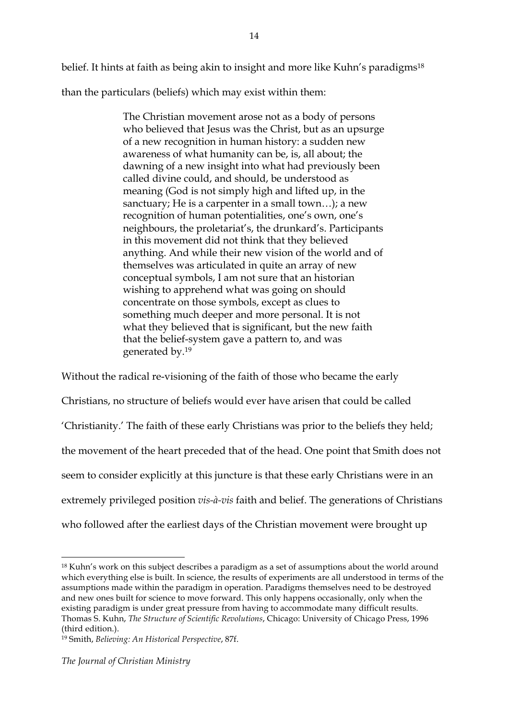belief. It hints at faith as being akin to insight and more like Kuhn's paradigms<sup>18</sup> than the particulars (beliefs) which may exist within them:

> The Christian movement arose not as a body of persons who believed that Jesus was the Christ, but as an upsurge of a new recognition in human history: a sudden new awareness of what humanity can be, is, all about; the dawning of a new insight into what had previously been called divine could, and should, be understood as meaning (God is not simply high and lifted up, in the sanctuary; He is a carpenter in a small town...); a new recognition of human potentialities, one's own, one's neighbours, the proletariat's, the drunkard's. Participants in this movement did not think that they believed anything. And while their new vision of the world and of themselves was articulated in quite an array of new conceptual symbols, I am not sure that an historian wishing to apprehend what was going on should concentrate on those symbols, except as clues to something much deeper and more personal. It is not what they believed that is significant, but the new faith that the belief-system gave a pattern to, and was generated by.19

Without the radical re-visioning of the faith of those who became the early Christians, no structure of beliefs would ever have arisen that could be called 'Christianity.' The faith of these early Christians was prior to the beliefs they held; the movement of the heart preceded that of the head. One point that Smith does not seem to consider explicitly at this juncture is that these early Christians were in an extremely privileged position *vis-à-vis* faith and belief. The generations of Christians who followed after the earliest days of the Christian movement were brought up

<sup>18</sup> Kuhn's work on this subject describes a paradigm as a set of assumptions about the world around which everything else is built. In science, the results of experiments are all understood in terms of the assumptions made within the paradigm in operation. Paradigms themselves need to be destroyed and new ones built for science to move forward. This only happens occasionally, only when the existing paradigm is under great pressure from having to accommodate many difficult results. Thomas S. Kuhn, *The Structure of Scientific Revolutions*, Chicago: University of Chicago Press, 1996 (third edition.).

<sup>19</sup> Smith, *Believing: An Historical Perspective*, 87f.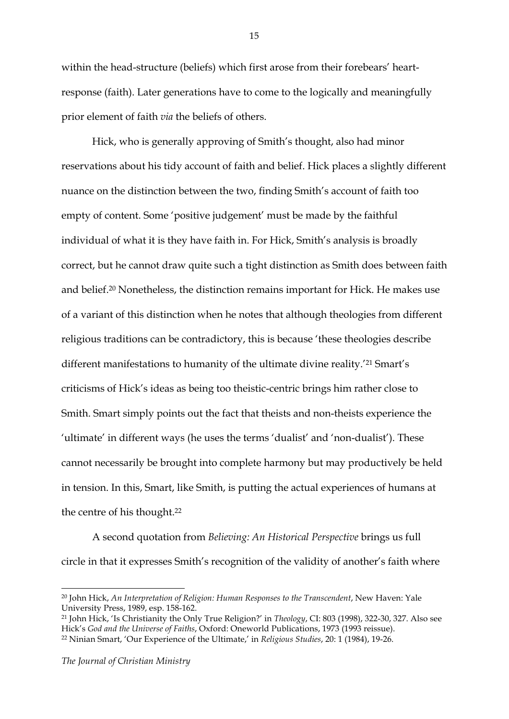within the head-structure (beliefs) which first arose from their forebears' heartresponse (faith). Later generations have to come to the logically and meaningfully prior element of faith *via* the beliefs of others.

Hick, who is generally approving of Smith's thought, also had minor reservations about his tidy account of faith and belief. Hick places a slightly different nuance on the distinction between the two, finding Smith's account of faith too empty of content. Some 'positive judgement' must be made by the faithful individual of what it is they have faith in. For Hick, Smith's analysis is broadly correct, but he cannot draw quite such a tight distinction as Smith does between faith and belief.20 Nonetheless, the distinction remains important for Hick. He makes use of a variant of this distinction when he notes that although theologies from different religious traditions can be contradictory, this is because 'these theologies describe different manifestations to humanity of the ultimate divine reality.'21 Smart's criticisms of Hick's ideas as being too theistic-centric brings him rather close to Smith. Smart simply points out the fact that theists and non-theists experience the 'ultimate' in different ways (he uses the terms 'dualist' and 'non-dualist'). These cannot necessarily be brought into complete harmony but may productively be held in tension. In this, Smart, like Smith, is putting the actual experiences of humans at the centre of his thought.22

A second quotation from *Believing: An Historical Perspective* brings us full circle in that it expresses Smith's recognition of the validity of another's faith where

<sup>20</sup> John Hick, *An Interpretation of Religion: Human Responses to the Transcendent*, New Haven: Yale University Press, 1989, esp. 158-162.

<sup>21</sup> John Hick, 'Is Christianity the Only True Religion?' in *Theology*, CI: 803 (1998), 322-30, 327. Also see Hick's *God and the Universe of Faiths*, Oxford: Oneworld Publications, 1973 (1993 reissue).

<sup>22</sup> Ninian Smart, 'Our Experience of the Ultimate,' in *Religious Studies*, 20: 1 (1984), 19-26.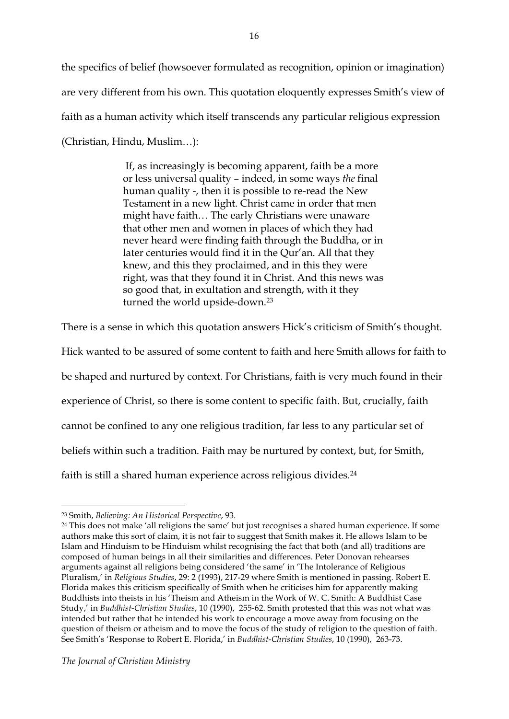the specifics of belief (howsoever formulated as recognition, opinion or imagination) are very different from his own. This quotation eloquently expresses Smith's view of faith as a human activity which itself transcends any particular religious expression (Christian, Hindu, Muslim…):

> If, as increasingly is becoming apparent, faith be a more or less universal quality – indeed, in some ways *the* final human quality -, then it is possible to re-read the New Testament in a new light. Christ came in order that men might have faith… The early Christians were unaware that other men and women in places of which they had never heard were finding faith through the Buddha, or in later centuries would find it in the Qur'an. All that they knew, and this they proclaimed, and in this they were right, was that they found it in Christ. And this news was so good that, in exultation and strength, with it they turned the world upside-down.23

There is a sense in which this quotation answers Hick's criticism of Smith's thought.

Hick wanted to be assured of some content to faith and here Smith allows for faith to

be shaped and nurtured by context. For Christians, faith is very much found in their

experience of Christ, so there is some content to specific faith. But, crucially, faith

cannot be confined to any one religious tradition, far less to any particular set of

beliefs within such a tradition. Faith may be nurtured by context, but, for Smith,

faith is still a shared human experience across religious divides.24

<sup>23</sup> Smith, *Believing: An Historical Perspective*, 93.

<sup>24</sup> This does not make 'all religions the same' but just recognises a shared human experience. If some authors make this sort of claim, it is not fair to suggest that Smith makes it. He allows Islam to be Islam and Hinduism to be Hinduism whilst recognising the fact that both (and all) traditions are composed of human beings in all their similarities and differences. Peter Donovan rehearses arguments against all religions being considered 'the same' in 'The Intolerance of Religious Pluralism,' in *Religious Studies*, 29: 2 (1993), 217-29 where Smith is mentioned in passing. Robert E. Florida makes this criticism specifically of Smith when he criticises him for apparently making Buddhists into theists in his 'Theism and Atheism in the Work of W. C. Smith: A Buddhist Case Study,' in *Buddhist-Christian Studies*, 10 (1990), 255-62. Smith protested that this was not what was intended but rather that he intended his work to encourage a move away from focusing on the question of theism or atheism and to move the focus of the study of religion to the question of faith. See Smith's 'Response to Robert E. Florida,' in *Buddhist-Christian Studies*, 10 (1990), 263-73.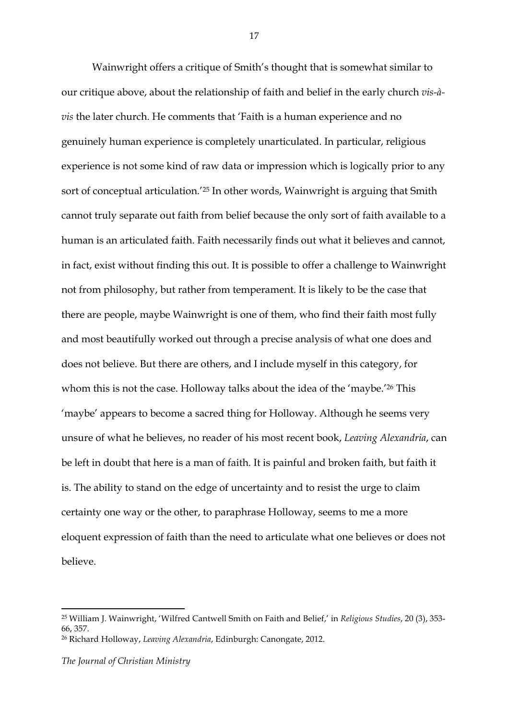Wainwright offers a critique of Smith's thought that is somewhat similar to our critique above, about the relationship of faith and belief in the early church *vis-àvis* the later church. He comments that 'Faith is a human experience and no genuinely human experience is completely unarticulated. In particular, religious experience is not some kind of raw data or impression which is logically prior to any sort of conceptual articulation.'25 In other words, Wainwright is arguing that Smith cannot truly separate out faith from belief because the only sort of faith available to a human is an articulated faith. Faith necessarily finds out what it believes and cannot, in fact, exist without finding this out. It is possible to offer a challenge to Wainwright not from philosophy, but rather from temperament. It is likely to be the case that there are people, maybe Wainwright is one of them, who find their faith most fully and most beautifully worked out through a precise analysis of what one does and does not believe. But there are others, and I include myself in this category, for whom this is not the case. Holloway talks about the idea of the 'maybe.'26 This 'maybe' appears to become a sacred thing for Holloway. Although he seems very unsure of what he believes, no reader of his most recent book, *Leaving Alexandria*, can be left in doubt that here is a man of faith. It is painful and broken faith, but faith it is. The ability to stand on the edge of uncertainty and to resist the urge to claim certainty one way or the other, to paraphrase Holloway, seems to me a more eloquent expression of faith than the need to articulate what one believes or does not believe.

<sup>25</sup> William J. Wainwright, 'Wilfred Cantwell Smith on Faith and Belief,' in *Religious Studies*, 20 (3), 353- 66, 357.

<sup>26</sup> Richard Holloway, *Leaving Alexandria*, Edinburgh: Canongate, 2012.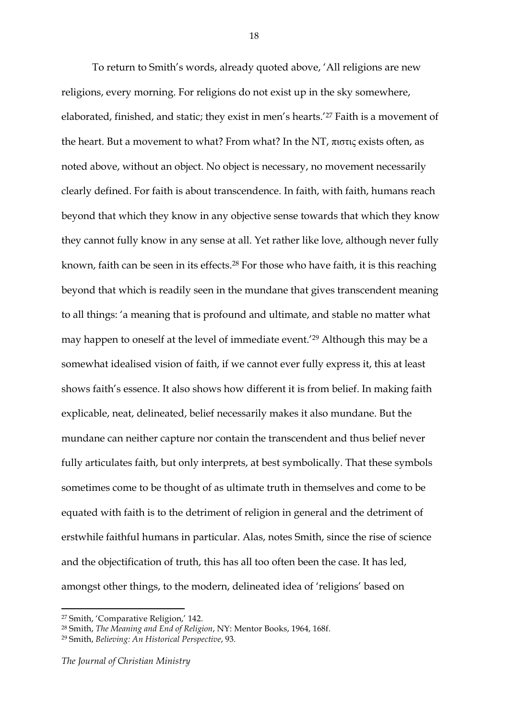To return to Smith's words, already quoted above, 'All religions are new religions, every morning. For religions do not exist up in the sky somewhere, elaborated, finished, and static; they exist in men's hearts.'27 Faith is a movement of the heart. But a movement to what? From what? In the NT, πιστις exists often, as noted above, without an object. No object is necessary, no movement necessarily clearly defined. For faith is about transcendence. In faith, with faith, humans reach beyond that which they know in any objective sense towards that which they know they cannot fully know in any sense at all. Yet rather like love, although never fully known, faith can be seen in its effects.28 For those who have faith, it is this reaching beyond that which is readily seen in the mundane that gives transcendent meaning to all things: 'a meaning that is profound and ultimate, and stable no matter what may happen to oneself at the level of immediate event.'29 Although this may be a somewhat idealised vision of faith, if we cannot ever fully express it, this at least shows faith's essence. It also shows how different it is from belief. In making faith explicable, neat, delineated, belief necessarily makes it also mundane. But the mundane can neither capture nor contain the transcendent and thus belief never fully articulates faith, but only interprets, at best symbolically. That these symbols sometimes come to be thought of as ultimate truth in themselves and come to be equated with faith is to the detriment of religion in general and the detriment of erstwhile faithful humans in particular. Alas, notes Smith, since the rise of science and the objectification of truth, this has all too often been the case. It has led, amongst other things, to the modern, delineated idea of 'religions' based on

<sup>27</sup> Smith, 'Comparative Religion,' 142.

<sup>28</sup> Smith, *The Meaning and End of Religion*, NY: Mentor Books, 1964, 168f.

<sup>29</sup> Smith, *Believing: An Historical Perspective*, 93.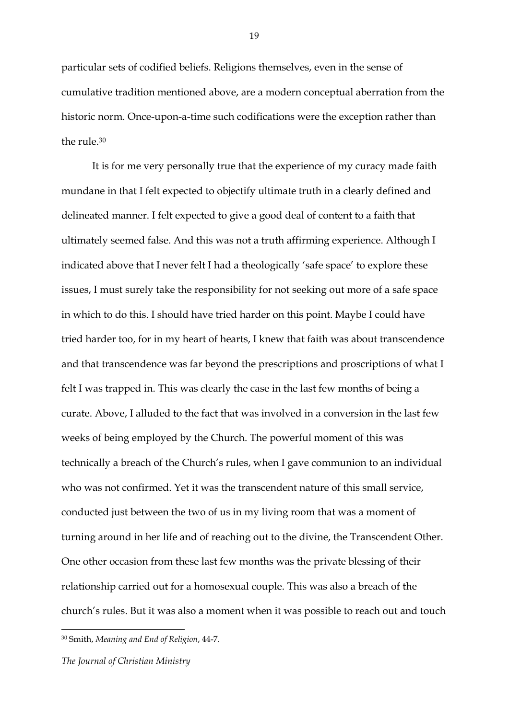particular sets of codified beliefs. Religions themselves, even in the sense of cumulative tradition mentioned above, are a modern conceptual aberration from the historic norm. Once-upon-a-time such codifications were the exception rather than the rule.30

It is for me very personally true that the experience of my curacy made faith mundane in that I felt expected to objectify ultimate truth in a clearly defined and delineated manner. I felt expected to give a good deal of content to a faith that ultimately seemed false. And this was not a truth affirming experience. Although I indicated above that I never felt I had a theologically 'safe space' to explore these issues, I must surely take the responsibility for not seeking out more of a safe space in which to do this. I should have tried harder on this point. Maybe I could have tried harder too, for in my heart of hearts, I knew that faith was about transcendence and that transcendence was far beyond the prescriptions and proscriptions of what I felt I was trapped in. This was clearly the case in the last few months of being a curate. Above, I alluded to the fact that was involved in a conversion in the last few weeks of being employed by the Church. The powerful moment of this was technically a breach of the Church's rules, when I gave communion to an individual who was not confirmed. Yet it was the transcendent nature of this small service, conducted just between the two of us in my living room that was a moment of turning around in her life and of reaching out to the divine, the Transcendent Other. One other occasion from these last few months was the private blessing of their relationship carried out for a homosexual couple. This was also a breach of the church's rules. But it was also a moment when it was possible to reach out and touch

<sup>30</sup> Smith, *Meaning and End of Religion*, 44-7.

*The Journal of Christian Ministry*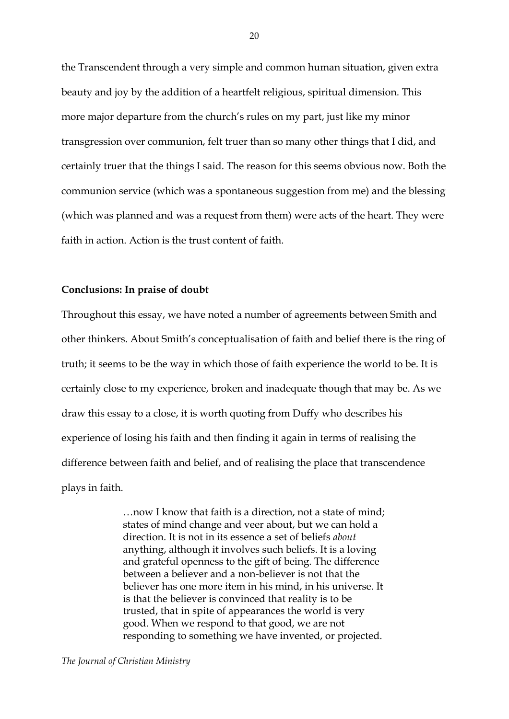the Transcendent through a very simple and common human situation, given extra beauty and joy by the addition of a heartfelt religious, spiritual dimension. This more major departure from the church's rules on my part, just like my minor transgression over communion, felt truer than so many other things that I did, and certainly truer that the things I said. The reason for this seems obvious now. Both the communion service (which was a spontaneous suggestion from me) and the blessing (which was planned and was a request from them) were acts of the heart. They were faith in action. Action is the trust content of faith.

#### **Conclusions: In praise of doubt**

Throughout this essay, we have noted a number of agreements between Smith and other thinkers. About Smith's conceptualisation of faith and belief there is the ring of truth; it seems to be the way in which those of faith experience the world to be. It is certainly close to my experience, broken and inadequate though that may be. As we draw this essay to a close, it is worth quoting from Duffy who describes his experience of losing his faith and then finding it again in terms of realising the difference between faith and belief, and of realising the place that transcendence plays in faith.

> …now I know that faith is a direction, not a state of mind; states of mind change and veer about, but we can hold a direction. It is not in its essence a set of beliefs *about* anything, although it involves such beliefs. It is a loving and grateful openness to the gift of being. The difference between a believer and a non-believer is not that the believer has one more item in his mind, in his universe. It is that the believer is convinced that reality is to be trusted, that in spite of appearances the world is very good. When we respond to that good, we are not responding to something we have invented, or projected.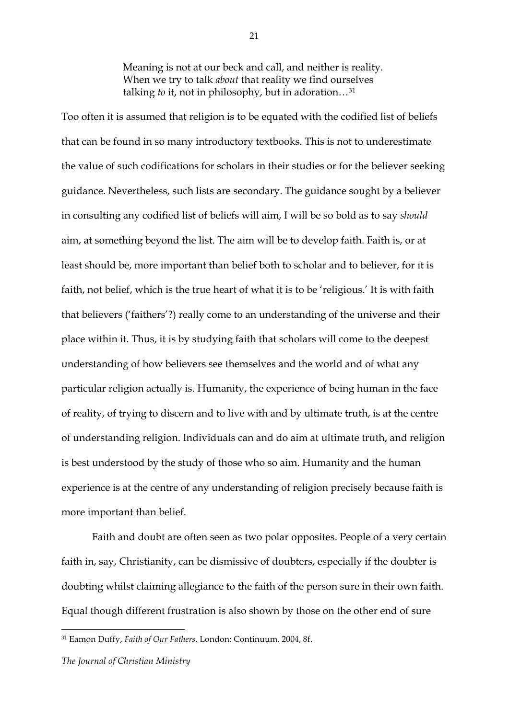Meaning is not at our beck and call, and neither is reality. When we try to talk *about* that reality we find ourselves talking *to* it, not in philosophy, but in adoration…31

Too often it is assumed that religion is to be equated with the codified list of beliefs that can be found in so many introductory textbooks. This is not to underestimate the value of such codifications for scholars in their studies or for the believer seeking guidance. Nevertheless, such lists are secondary. The guidance sought by a believer in consulting any codified list of beliefs will aim, I will be so bold as to say *should* aim, at something beyond the list. The aim will be to develop faith. Faith is, or at least should be, more important than belief both to scholar and to believer, for it is faith, not belief, which is the true heart of what it is to be 'religious.' It is with faith that believers ('faithers'?) really come to an understanding of the universe and their place within it. Thus, it is by studying faith that scholars will come to the deepest understanding of how believers see themselves and the world and of what any particular religion actually is. Humanity, the experience of being human in the face of reality, of trying to discern and to live with and by ultimate truth, is at the centre of understanding religion. Individuals can and do aim at ultimate truth, and religion is best understood by the study of those who so aim. Humanity and the human experience is at the centre of any understanding of religion precisely because faith is more important than belief.

Faith and doubt are often seen as two polar opposites. People of a very certain faith in, say, Christianity, can be dismissive of doubters, especially if the doubter is doubting whilst claiming allegiance to the faith of the person sure in their own faith. Equal though different frustration is also shown by those on the other end of sure

<sup>31</sup> Eamon Duffy, *Faith of Our Fathers*, London: Continuum, 2004, 8f.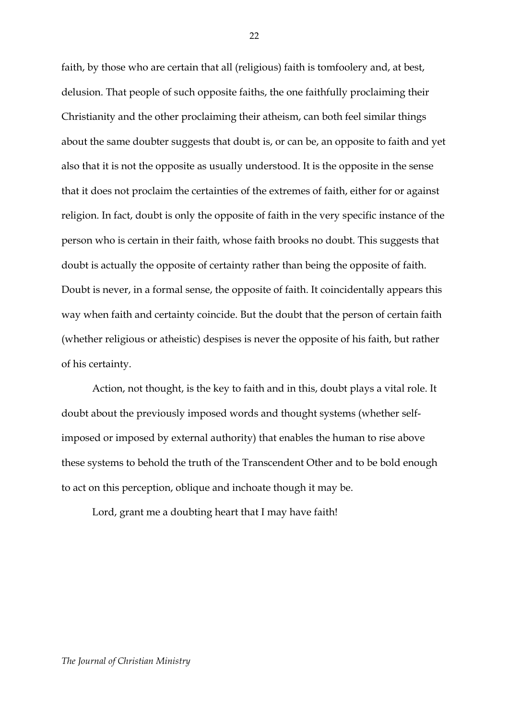faith, by those who are certain that all (religious) faith is tomfoolery and, at best, delusion. That people of such opposite faiths, the one faithfully proclaiming their Christianity and the other proclaiming their atheism, can both feel similar things about the same doubter suggests that doubt is, or can be, an opposite to faith and yet also that it is not the opposite as usually understood. It is the opposite in the sense that it does not proclaim the certainties of the extremes of faith, either for or against religion. In fact, doubt is only the opposite of faith in the very specific instance of the person who is certain in their faith, whose faith brooks no doubt. This suggests that doubt is actually the opposite of certainty rather than being the opposite of faith. Doubt is never, in a formal sense, the opposite of faith. It coincidentally appears this way when faith and certainty coincide. But the doubt that the person of certain faith (whether religious or atheistic) despises is never the opposite of his faith, but rather of his certainty.

Action, not thought, is the key to faith and in this, doubt plays a vital role. It doubt about the previously imposed words and thought systems (whether selfimposed or imposed by external authority) that enables the human to rise above these systems to behold the truth of the Transcendent Other and to be bold enough to act on this perception, oblique and inchoate though it may be.

Lord, grant me a doubting heart that I may have faith!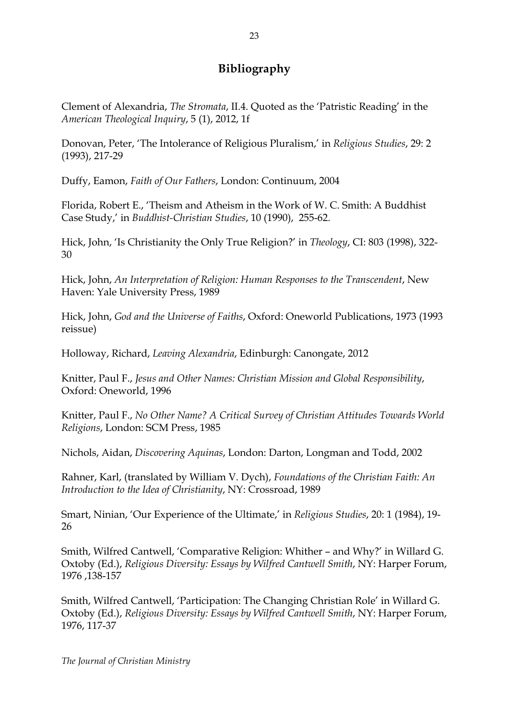# **Bibliography**

Clement of Alexandria, *The Stromata*, II.4. Quoted as the 'Patristic Reading' in the *American Theological Inquiry*, 5 (1), 2012, 1f

Donovan, Peter, 'The Intolerance of Religious Pluralism,' in *Religious Studies*, 29: 2 (1993), 217-29

Duffy, Eamon, *Faith of Our Fathers*, London: Continuum, 2004

Florida, Robert E., 'Theism and Atheism in the Work of W. C. Smith: A Buddhist Case Study,' in *Buddhist-Christian Studies*, 10 (1990), 255-62.

Hick, John, 'Is Christianity the Only True Religion?' in *Theology*, CI: 803 (1998), 322- 30

Hick, John, *An Interpretation of Religion: Human Responses to the Transcendent*, New Haven: Yale University Press, 1989

Hick, John, *God and the Universe of Faiths*, Oxford: Oneworld Publications, 1973 (1993 reissue)

Holloway, Richard, *Leaving Alexandria*, Edinburgh: Canongate, 2012

Knitter, Paul F., *Jesus and Other Names: Christian Mission and Global Responsibility*, Oxford: Oneworld, 1996

Knitter, Paul F., *No Other Name? A Critical Survey of Christian Attitudes Towards World Religions*, London: SCM Press, 1985

Nichols, Aidan, *Discovering Aquinas*, London: Darton, Longman and Todd, 2002

Rahner, Karl, (translated by William V. Dych), *Foundations of the Christian Faith: An Introduction to the Idea of Christianity*, NY: Crossroad, 1989

Smart, Ninian, 'Our Experience of the Ultimate,' in *Religious Studies*, 20: 1 (1984), 19- 26

Smith, Wilfred Cantwell, 'Comparative Religion: Whither – and Why?' in Willard G. Oxtoby (Ed.), *Religious Diversity: Essays by Wilfred Cantwell Smith*, NY: Harper Forum, 1976 ,138-157

Smith, Wilfred Cantwell, 'Participation: The Changing Christian Role' in Willard G. Oxtoby (Ed.), *Religious Diversity: Essays by Wilfred Cantwell Smith*, NY: Harper Forum, 1976, 117-37

*The Journal of Christian Ministry*